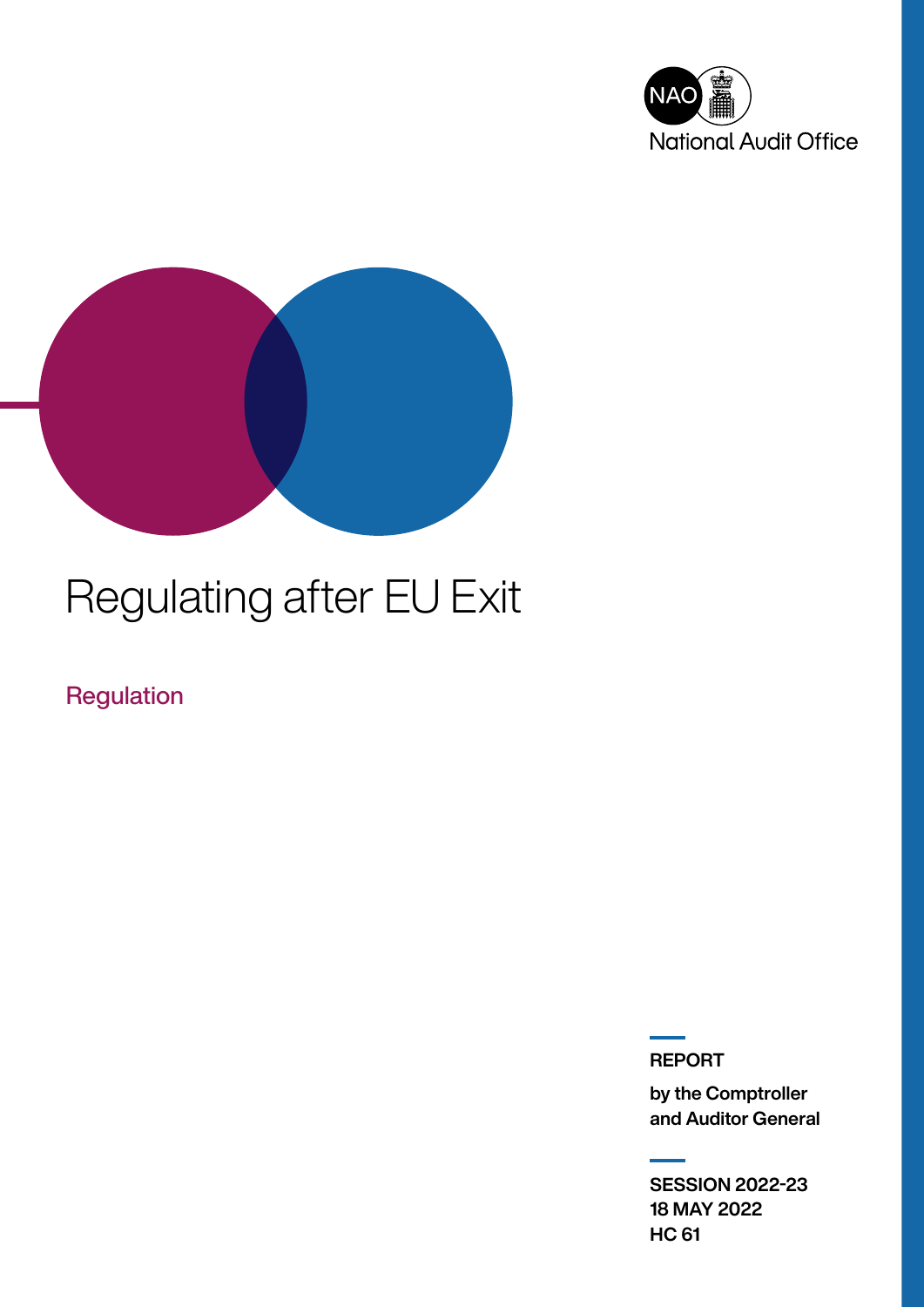



# Regulating after EU Exit

Regulation

REPORT

by the Comptroller and Auditor General

SESSION 2022-23 18 MAY 2022 HC 61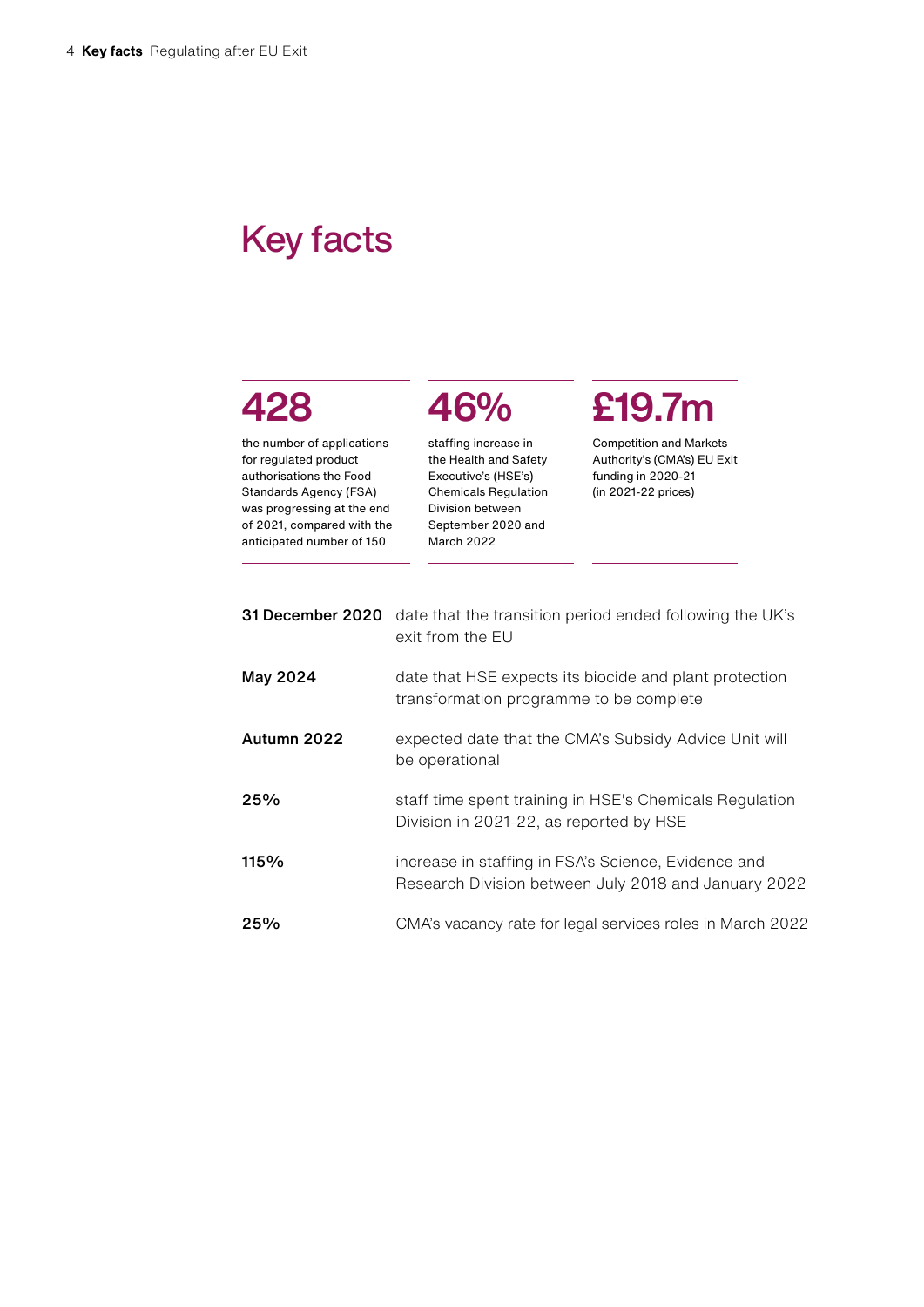### Key facts

## 428

the number of applications for regulated product authorisations the Food Standards Agency (FSA) was progressing at the end of 2021, compared with the anticipated number of 150

staffing increase in the Health and Safety Executive's (HSE's) Chemicals Regulation Division between September 2020 and March 2022

46%

# £19.7m

Competition and Markets Authority's (CMA's) EU Exit funding in 2020-21 (in 2021-22 prices)

| 31 December 2020 | date that the transition period ended following the UK's<br>exit from the EU                                |
|------------------|-------------------------------------------------------------------------------------------------------------|
| May 2024         | date that HSE expects its biocide and plant protection<br>transformation programme to be complete           |
| Autumn 2022      | expected date that the CMA's Subsidy Advice Unit will<br>be operational                                     |
| 25%              | staff time spent training in HSE's Chemicals Regulation<br>Division in 2021-22, as reported by HSE          |
| 115%             | increase in staffing in FSA's Science, Evidence and<br>Research Division between July 2018 and January 2022 |
| 25%              | CMA's vacancy rate for legal services roles in March 2022                                                   |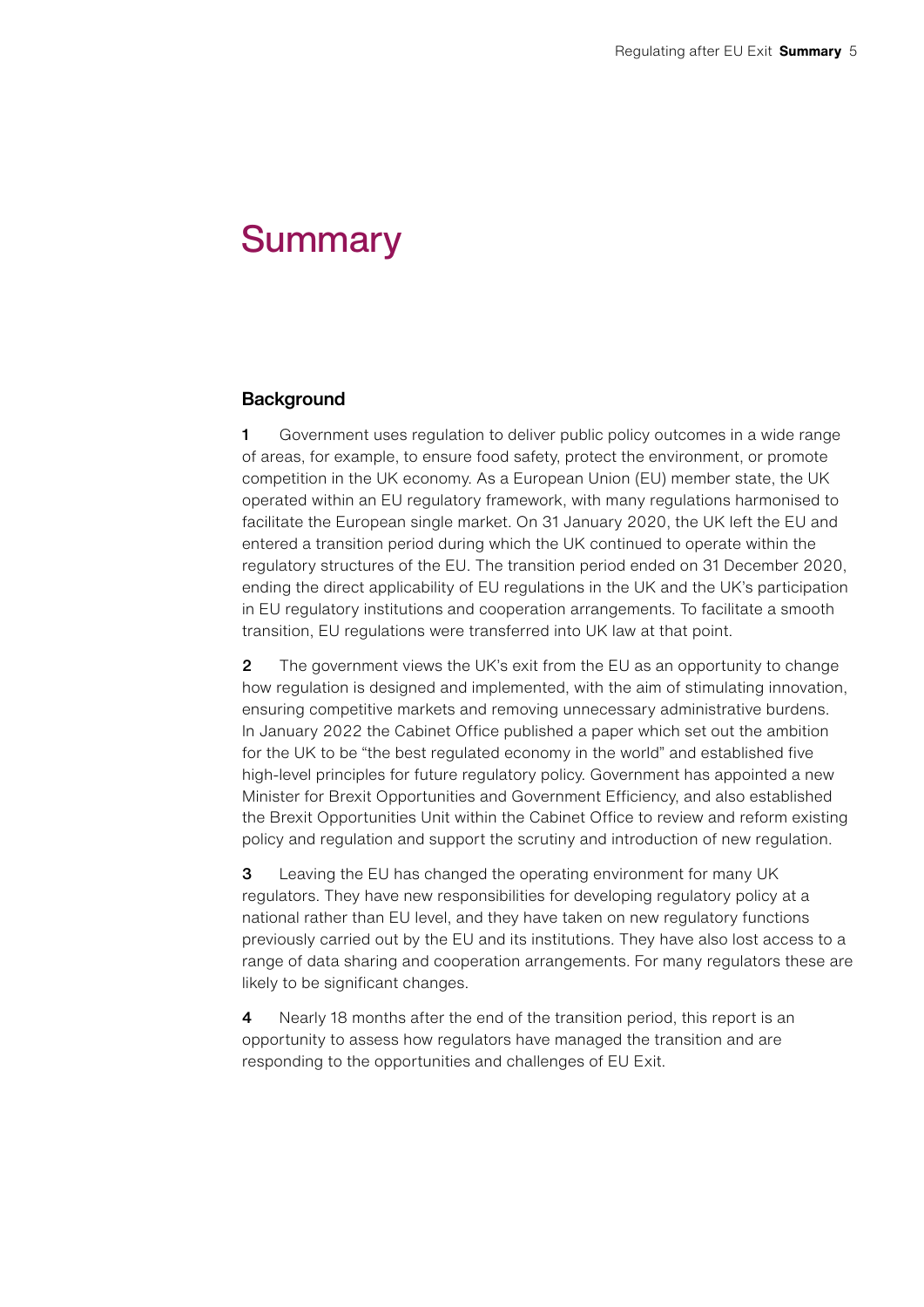### **Summary**

#### **Background**

1 Government uses regulation to deliver public policy outcomes in a wide range of areas, for example, to ensure food safety, protect the environment, or promote competition in the UK economy. As a European Union (EU) member state, the UK operated within an EU regulatory framework, with many regulations harmonised to facilitate the European single market. On 31 January 2020, the UK left the EU and entered a transition period during which the UK continued to operate within the regulatory structures of the EU. The transition period ended on 31 December 2020, ending the direct applicability of EU regulations in the UK and the UK's participation in EU regulatory institutions and cooperation arrangements. To facilitate a smooth transition, EU regulations were transferred into UK law at that point.

2 The government views the UK's exit from the EU as an opportunity to change how regulation is designed and implemented, with the aim of stimulating innovation, ensuring competitive markets and removing unnecessary administrative burdens. In January 2022 the Cabinet Office published a paper which set out the ambition for the UK to be "the best regulated economy in the world" and established five high-level principles for future regulatory policy. Government has appointed a new Minister for Brexit Opportunities and Government Efficiency, and also established the Brexit Opportunities Unit within the Cabinet Office to review and reform existing policy and regulation and support the scrutiny and introduction of new regulation.

**3** Leaving the EU has changed the operating environment for many UK regulators. They have new responsibilities for developing regulatory policy at a national rather than EU level, and they have taken on new regulatory functions previously carried out by the EU and its institutions. They have also lost access to a range of data sharing and cooperation arrangements. For many regulators these are likely to be significant changes.

4 Nearly 18 months after the end of the transition period, this report is an opportunity to assess how regulators have managed the transition and are responding to the opportunities and challenges of EU Exit.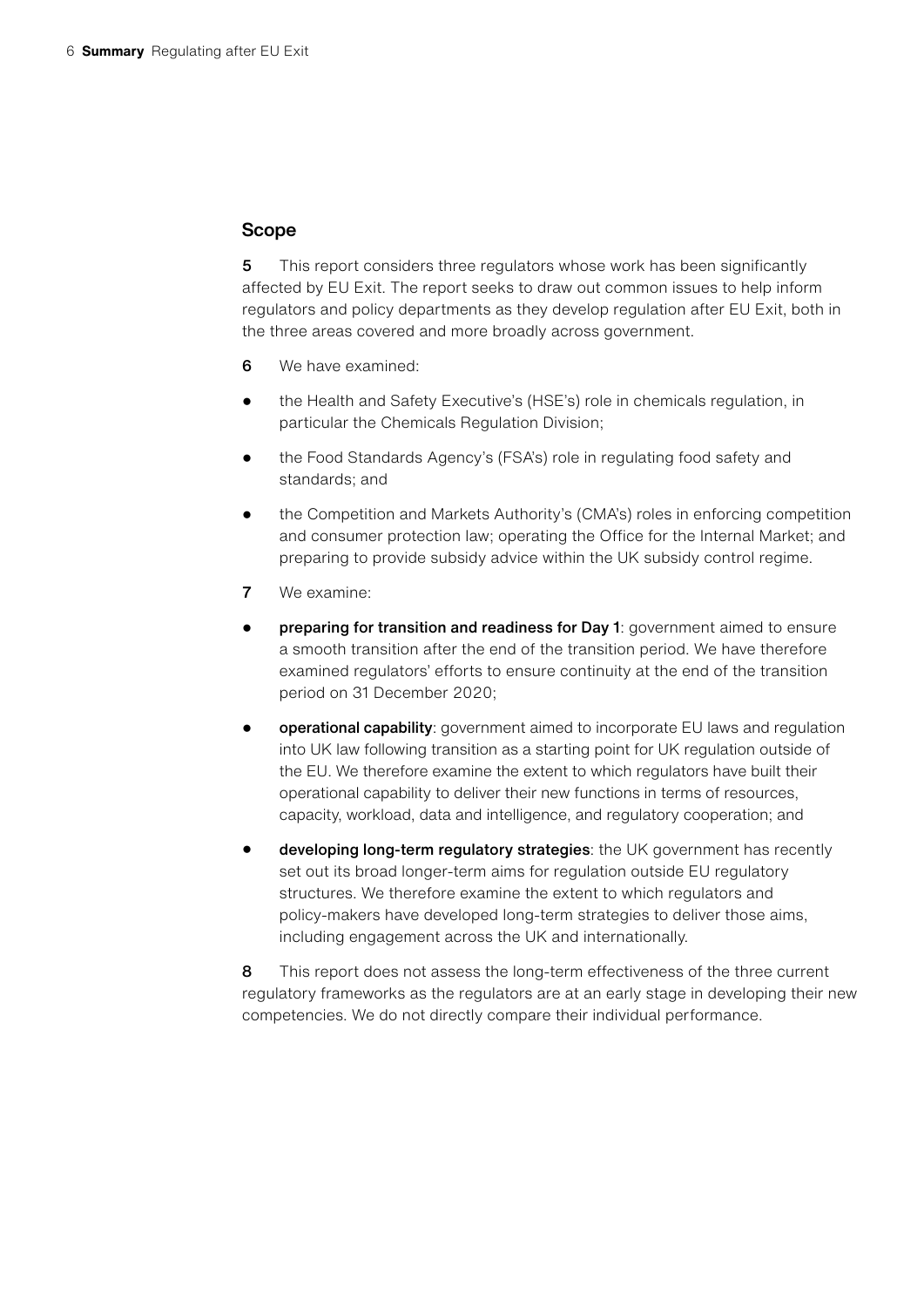#### Scope

5 This report considers three regulators whose work has been significantly affected by EU Exit. The report seeks to draw out common issues to help inform regulators and policy departments as they develop regulation after EU Exit, both in the three areas covered and more broadly across government.

- 6 We have examined:
- the Health and Safety Executive's (HSE's) role in chemicals regulation, in particular the Chemicals Regulation Division;
- the Food Standards Agency's (FSA's) role in regulating food safety and standards; and
- the Competition and Markets Authority's (CMA's) roles in enforcing competition and consumer protection law; operating the Office for the Internal Market; and preparing to provide subsidy advice within the UK subsidy control regime.
- 7 We examine:
- preparing for transition and readiness for Day 1: government aimed to ensure a smooth transition after the end of the transition period. We have therefore examined regulators' efforts to ensure continuity at the end of the transition period on 31 December 2020;
- operational capability: government aimed to incorporate EU laws and regulation into UK law following transition as a starting point for UK regulation outside of the EU. We therefore examine the extent to which regulators have built their operational capability to deliver their new functions in terms of resources, capacity, workload, data and intelligence, and regulatory cooperation; and
- developing long-term regulatory strategies: the UK government has recently set out its broad longer-term aims for regulation outside EU regulatory structures. We therefore examine the extent to which regulators and policy-makers have developed long-term strategies to deliver those aims, including engagement across the UK and internationally.

8 This report does not assess the long-term effectiveness of the three current regulatory frameworks as the regulators are at an early stage in developing their new competencies. We do not directly compare their individual performance.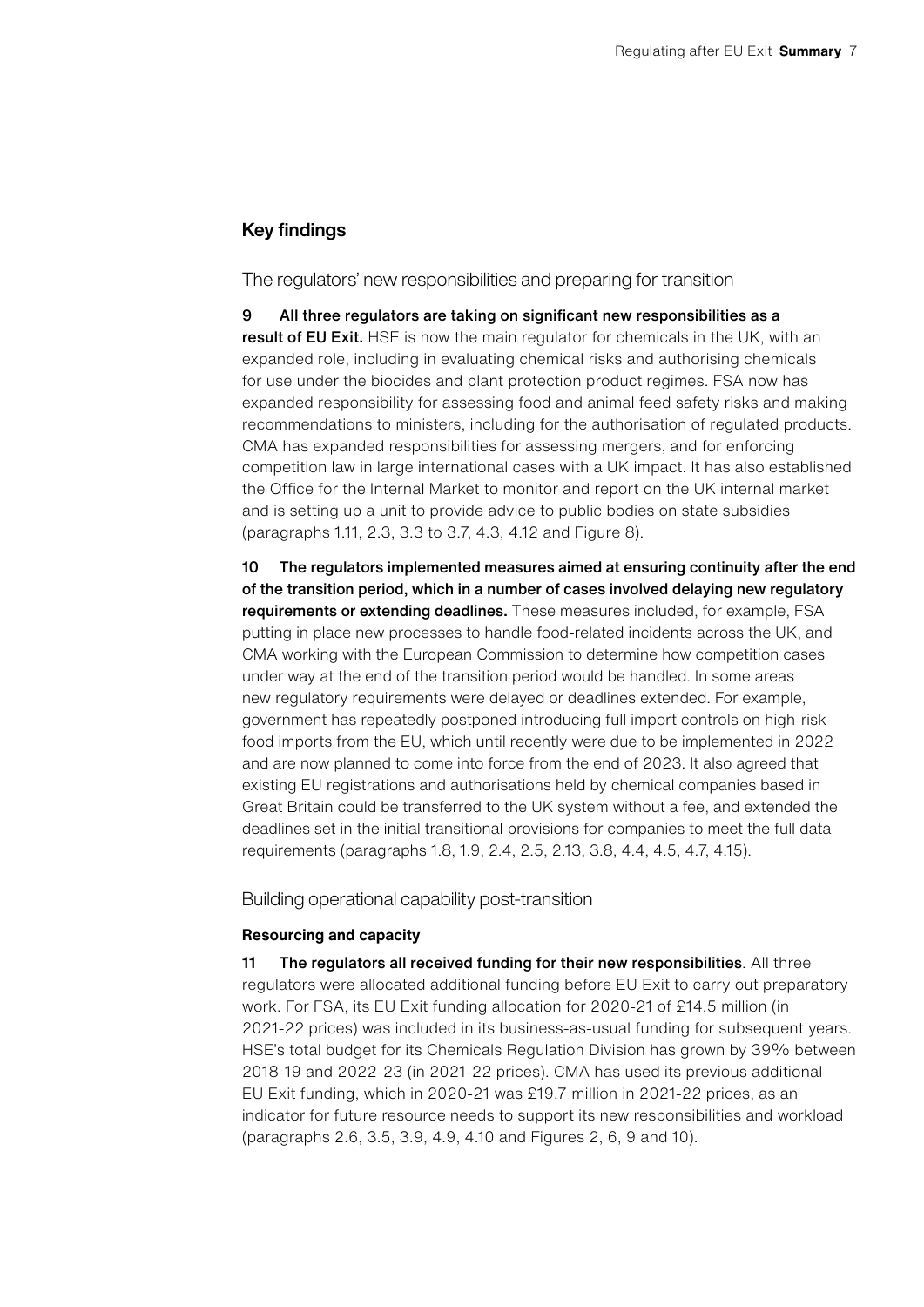#### Key findings

The regulators' new responsibilities and preparing for transition

9 All three regulators are taking on significant new responsibilities as a result of EU Exit. HSE is now the main regulator for chemicals in the UK, with an expanded role, including in evaluating chemical risks and authorising chemicals for use under the biocides and plant protection product regimes. FSA now has expanded responsibility for assessing food and animal feed safety risks and making recommendations to ministers, including for the authorisation of regulated products. CMA has expanded responsibilities for assessing mergers, and for enforcing competition law in large international cases with a UK impact. It has also established the Office for the Internal Market to monitor and report on the UK internal market and is setting up a unit to provide advice to public bodies on state subsidies (paragraphs 1.11, 2.3, 3.3 to 3.7, 4.3, 4.12 and Figure 8).

10 The regulators implemented measures aimed at ensuring continuity after the end of the transition period, which in a number of cases involved delaying new regulatory requirements or extending deadlines. These measures included, for example, FSA putting in place new processes to handle food-related incidents across the UK, and CMA working with the European Commission to determine how competition cases under way at the end of the transition period would be handled. In some areas new regulatory requirements were delayed or deadlines extended. For example, government has repeatedly postponed introducing full import controls on high-risk food imports from the EU, which until recently were due to be implemented in 2022 and are now planned to come into force from the end of 2023. It also agreed that existing EU registrations and authorisations held by chemical companies based in Great Britain could be transferred to the UK system without a fee, and extended the deadlines set in the initial transitional provisions for companies to meet the full data requirements (paragraphs 1.8, 1.9, 2.4, 2.5, 2.13, 3.8, 4.4, 4.5, 4.7, 4.15).

Building operational capability post-transition

#### **Resourcing and capacity**

11 The regulators all received funding for their new responsibilities. All three regulators were allocated additional funding before EU Exit to carry out preparatory work. For FSA, its EU Exit funding allocation for 2020-21 of £14.5 million (in 2021-22 prices) was included in its business-as-usual funding for subsequent years. HSE's total budget for its Chemicals Regulation Division has grown by 39% between 2018-19 and 2022-23 (in 2021-22 prices). CMA has used its previous additional EU Exit funding, which in 2020-21 was £19.7 million in 2021-22 prices, as an indicator for future resource needs to support its new responsibilities and workload (paragraphs 2.6, 3.5, 3.9, 4.9, 4.10 and Figures 2, 6, 9 and 10).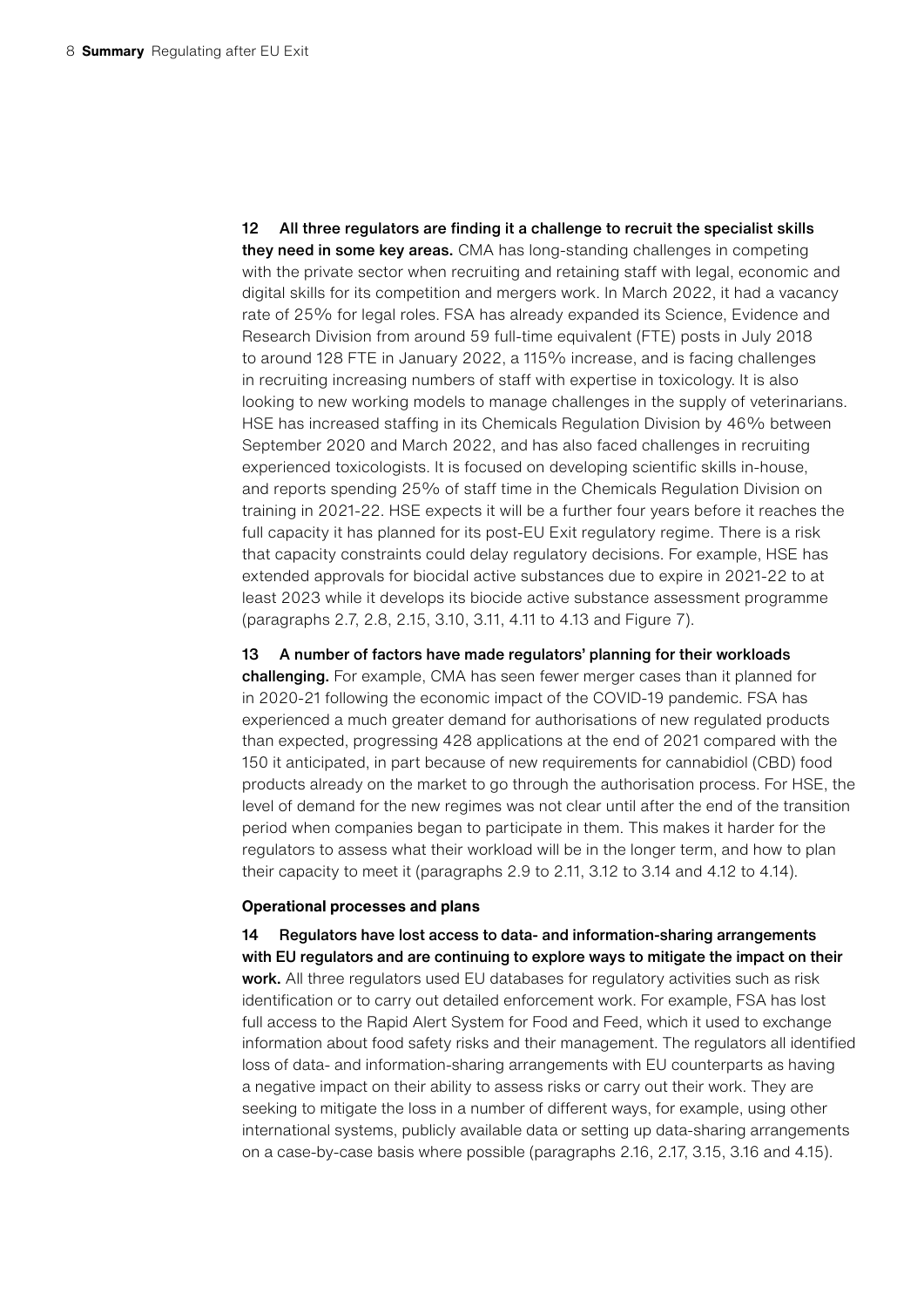12 All three regulators are finding it a challenge to recruit the specialist skills they need in some key areas. CMA has long-standing challenges in competing with the private sector when recruiting and retaining staff with legal, economic and digital skills for its competition and mergers work. In March 2022, it had a vacancy rate of 25% for legal roles. FSA has already expanded its Science, Evidence and Research Division from around 59 full-time equivalent (FTE) posts in July 2018 to around 128 FTE in January 2022, a 115% increase, and is facing challenges in recruiting increasing numbers of staff with expertise in toxicology. It is also looking to new working models to manage challenges in the supply of veterinarians. HSE has increased staffing in its Chemicals Regulation Division by 46% between September 2020 and March 2022, and has also faced challenges in recruiting experienced toxicologists. It is focused on developing scientific skills in-house, and reports spending 25% of staff time in the Chemicals Regulation Division on training in 2021-22. HSE expects it will be a further four years before it reaches the full capacity it has planned for its post-EU Exit regulatory regime. There is a risk that capacity constraints could delay regulatory decisions. For example, HSE has extended approvals for biocidal active substances due to expire in 2021-22 to at least 2023 while it develops its biocide active substance assessment programme (paragraphs 2.7, 2.8, 2.15, 3.10, 3.11, 4.11 to 4.13 and Figure 7).

13 A number of factors have made regulators' planning for their workloads challenging. For example, CMA has seen fewer merger cases than it planned for in 2020-21 following the economic impact of the COVID-19 pandemic. FSA has experienced a much greater demand for authorisations of new regulated products than expected, progressing 428 applications at the end of 2021 compared with the 150 it anticipated, in part because of new requirements for cannabidiol (CBD) food products already on the market to go through the authorisation process. For HSE, the level of demand for the new regimes was not clear until after the end of the transition period when companies began to participate in them. This makes it harder for the regulators to assess what their workload will be in the longer term, and how to plan their capacity to meet it (paragraphs 2.9 to 2.11, 3.12 to 3.14 and 4.12 to 4.14).

#### **Operational processes and plans**

14 Regulators have lost access to data- and information-sharing arrangements with EU regulators and are continuing to explore ways to mitigate the impact on their work. All three regulators used EU databases for regulatory activities such as risk identification or to carry out detailed enforcement work. For example, FSA has lost full access to the Rapid Alert System for Food and Feed, which it used to exchange information about food safety risks and their management. The regulators all identified loss of data- and information-sharing arrangements with EU counterparts as having a negative impact on their ability to assess risks or carry out their work. They are seeking to mitigate the loss in a number of different ways, for example, using other international systems, publicly available data or setting up data-sharing arrangements on a case-by-case basis where possible (paragraphs 2.16, 2.17, 3.15, 3.16 and 4.15).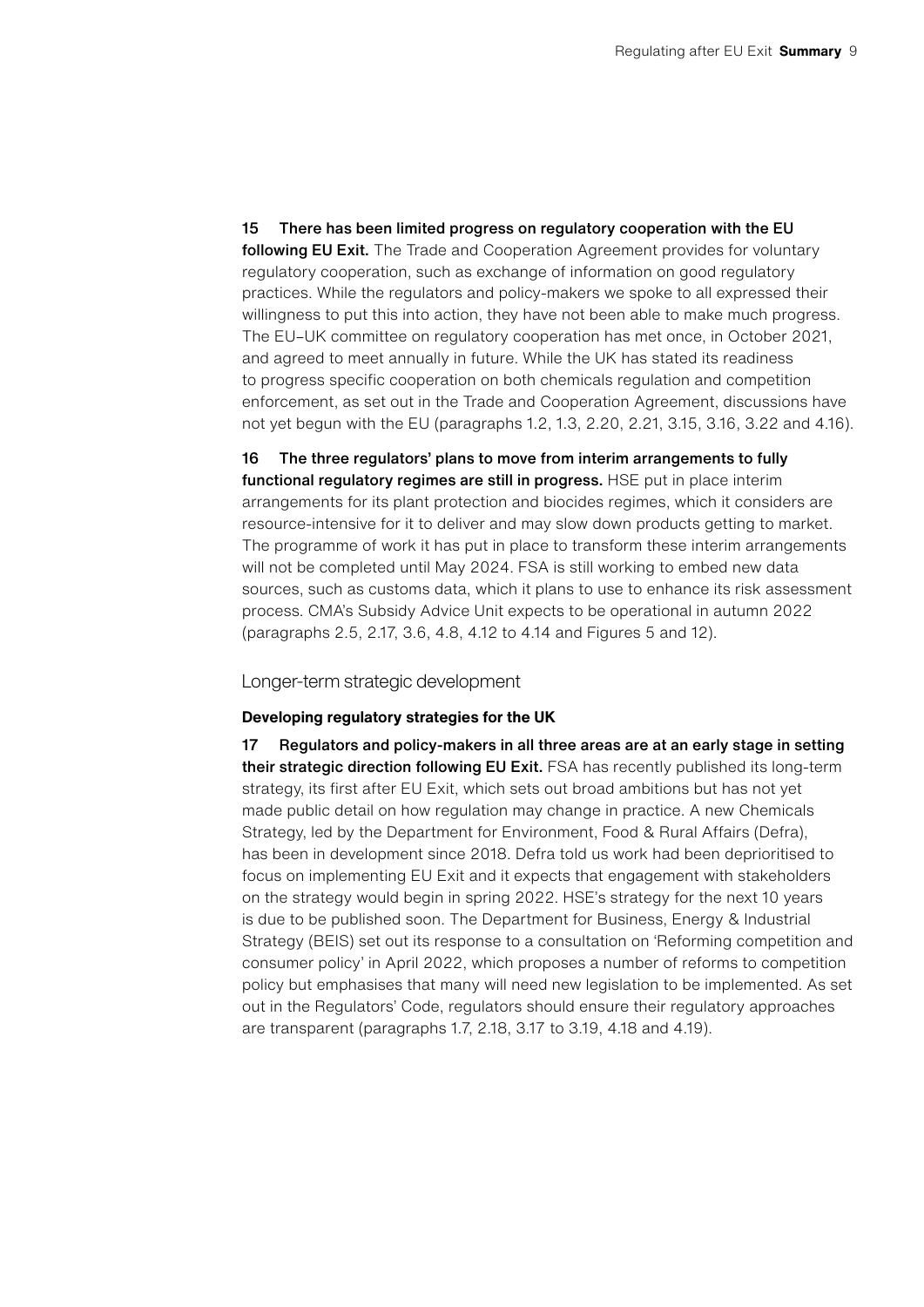15 There has been limited progress on regulatory cooperation with the EU following EU Exit. The Trade and Cooperation Agreement provides for voluntary regulatory cooperation, such as exchange of information on good regulatory practices. While the regulators and policy-makers we spoke to all expressed their willingness to put this into action, they have not been able to make much progress. The EU–UK committee on regulatory cooperation has met once, in October 2021, and agreed to meet annually in future. While the UK has stated its readiness to progress specific cooperation on both chemicals regulation and competition enforcement, as set out in the Trade and Cooperation Agreement, discussions have not yet begun with the EU (paragraphs 1.2, 1.3, 2.20, 2.21, 3.15, 3.16, 3.22 and 4.16).

#### 16 The three regulators' plans to move from interim arrangements to fully

functional regulatory regimes are still in progress. HSE put in place interim arrangements for its plant protection and biocides regimes, which it considers are resource-intensive for it to deliver and may slow down products getting to market. The programme of work it has put in place to transform these interim arrangements will not be completed until May 2024. FSA is still working to embed new data sources, such as customs data, which it plans to use to enhance its risk assessment process. CMA's Subsidy Advice Unit expects to be operational in autumn 2022 (paragraphs 2.5, 2.17, 3.6, 4.8, 4.12 to 4.14 and Figures 5 and 12).

#### Longer-term strategic development

#### **Developing regulatory strategies for the UK**

17 Regulators and policy-makers in all three areas are at an early stage in setting their strategic direction following EU Exit. FSA has recently published its long-term strategy, its first after EU Exit, which sets out broad ambitions but has not yet made public detail on how regulation may change in practice. A new Chemicals Strategy, led by the Department for Environment, Food & Rural Affairs (Defra), has been in development since 2018. Defra told us work had been deprioritised to focus on implementing EU Exit and it expects that engagement with stakeholders on the strategy would begin in spring 2022. HSE's strategy for the next 10 years is due to be published soon. The Department for Business, Energy & Industrial Strategy (BEIS) set out its response to a consultation on 'Reforming competition and consumer policy' in April 2022, which proposes a number of reforms to competition policy but emphasises that many will need new legislation to be implemented. As set out in the Regulators' Code, regulators should ensure their regulatory approaches are transparent (paragraphs 1.7, 2.18, 3.17 to 3.19, 4.18 and 4.19).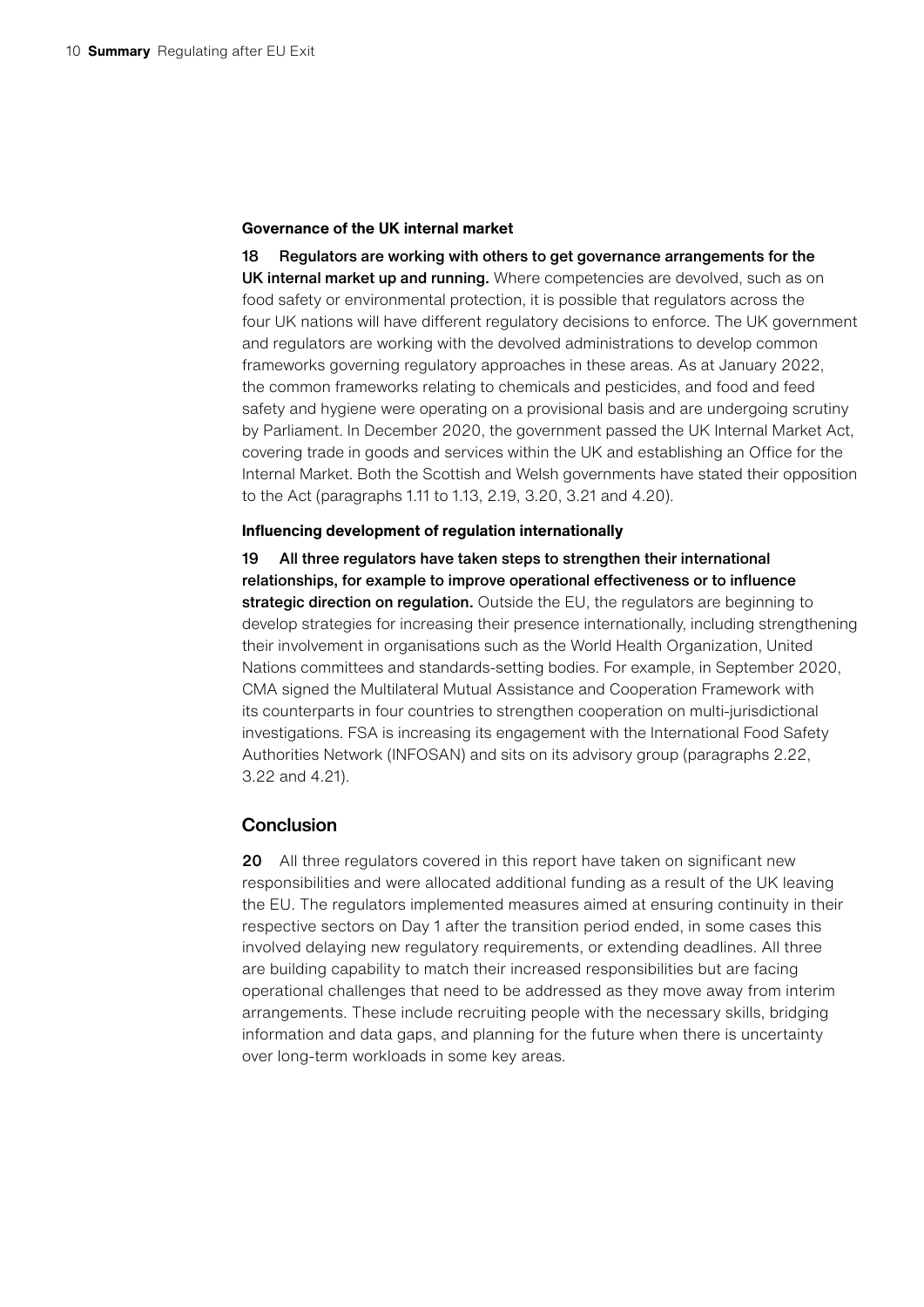#### **Governance of the UK internal market**

18 Regulators are working with others to get governance arrangements for the UK internal market up and running. Where competencies are devolved, such as on food safety or environmental protection, it is possible that regulators across the four UK nations will have different regulatory decisions to enforce. The UK government and regulators are working with the devolved administrations to develop common frameworks governing regulatory approaches in these areas. As at January 2022, the common frameworks relating to chemicals and pesticides, and food and feed safety and hygiene were operating on a provisional basis and are undergoing scrutiny by Parliament. In December 2020, the government passed the UK Internal Market Act, covering trade in goods and services within the UK and establishing an Office for the Internal Market. Both the Scottish and Welsh governments have stated their opposition to the Act (paragraphs 1.11 to 1.13, 2.19, 3.20, 3.21 and 4.20).

#### **Influencing development of regulation internationally**

19 All three regulators have taken steps to strengthen their international relationships, for example to improve operational effectiveness or to influence strategic direction on regulation. Outside the EU, the regulators are beginning to develop strategies for increasing their presence internationally, including strengthening their involvement in organisations such as the World Health Organization, United Nations committees and standards-setting bodies. For example, in September 2020, CMA signed the Multilateral Mutual Assistance and Cooperation Framework with its counterparts in four countries to strengthen cooperation on multi-jurisdictional investigations. FSA is increasing its engagement with the International Food Safety Authorities Network (INFOSAN) and sits on its advisory group (paragraphs 2.22, 3.22 and 4.21).

#### Conclusion

20 All three regulators covered in this report have taken on significant new responsibilities and were allocated additional funding as a result of the UK leaving the EU. The regulators implemented measures aimed at ensuring continuity in their respective sectors on Day 1 after the transition period ended, in some cases this involved delaying new regulatory requirements, or extending deadlines. All three are building capability to match their increased responsibilities but are facing operational challenges that need to be addressed as they move away from interim arrangements. These include recruiting people with the necessary skills, bridging information and data gaps, and planning for the future when there is uncertainty over long-term workloads in some key areas.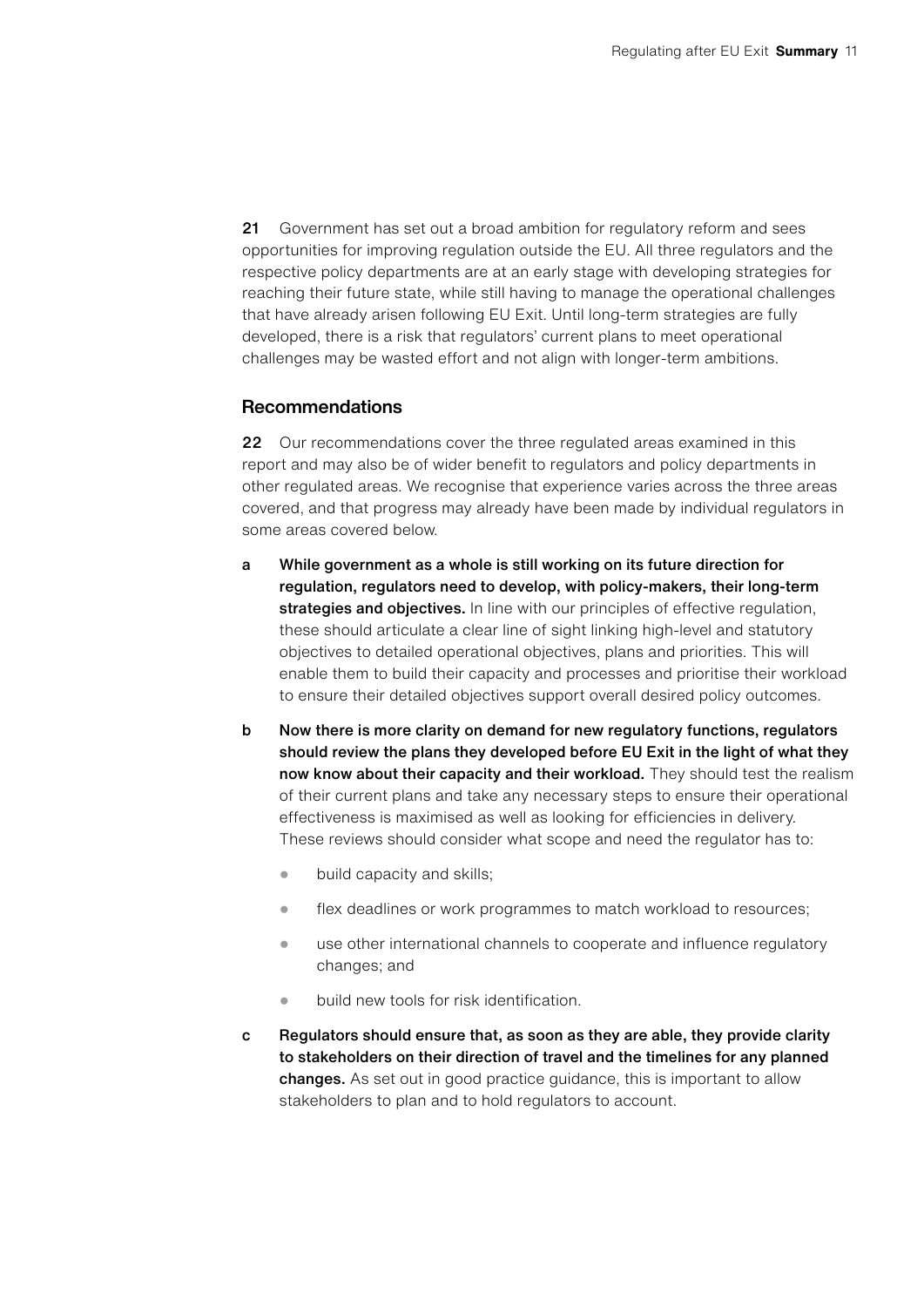21 Government has set out a broad ambition for regulatory reform and sees opportunities for improving regulation outside the EU. All three regulators and the respective policy departments are at an early stage with developing strategies for reaching their future state, while still having to manage the operational challenges that have already arisen following EU Exit. Until long-term strategies are fully developed, there is a risk that regulators' current plans to meet operational challenges may be wasted effort and not align with longer-term ambitions.

#### Recommendations

22 Our recommendations cover the three regulated areas examined in this report and may also be of wider benefit to regulators and policy departments in other regulated areas. We recognise that experience varies across the three areas covered, and that progress may already have been made by individual regulators in some areas covered below.

- a While government as a whole is still working on its future direction for regulation, regulators need to develop, with policy-makers, their long-term strategies and objectives. In line with our principles of effective regulation, these should articulate a clear line of sight linking high-level and statutory objectives to detailed operational objectives, plans and priorities. This will enable them to build their capacity and processes and prioritise their workload to ensure their detailed objectives support overall desired policy outcomes.
- b Now there is more clarity on demand for new regulatory functions, regulators should review the plans they developed before EU Exit in the light of what they now know about their capacity and their workload. They should test the realism of their current plans and take any necessary steps to ensure their operational effectiveness is maximised as well as looking for efficiencies in delivery. These reviews should consider what scope and need the regulator has to:
	- build capacity and skills;
	- flex deadlines or work programmes to match workload to resources;
	- use other international channels to cooperate and influence regulatory changes; and
	- build new tools for risk identification.
- c Regulators should ensure that, as soon as they are able, they provide clarity to stakeholders on their direction of travel and the timelines for any planned changes. As set out in good practice guidance, this is important to allow stakeholders to plan and to hold regulators to account.